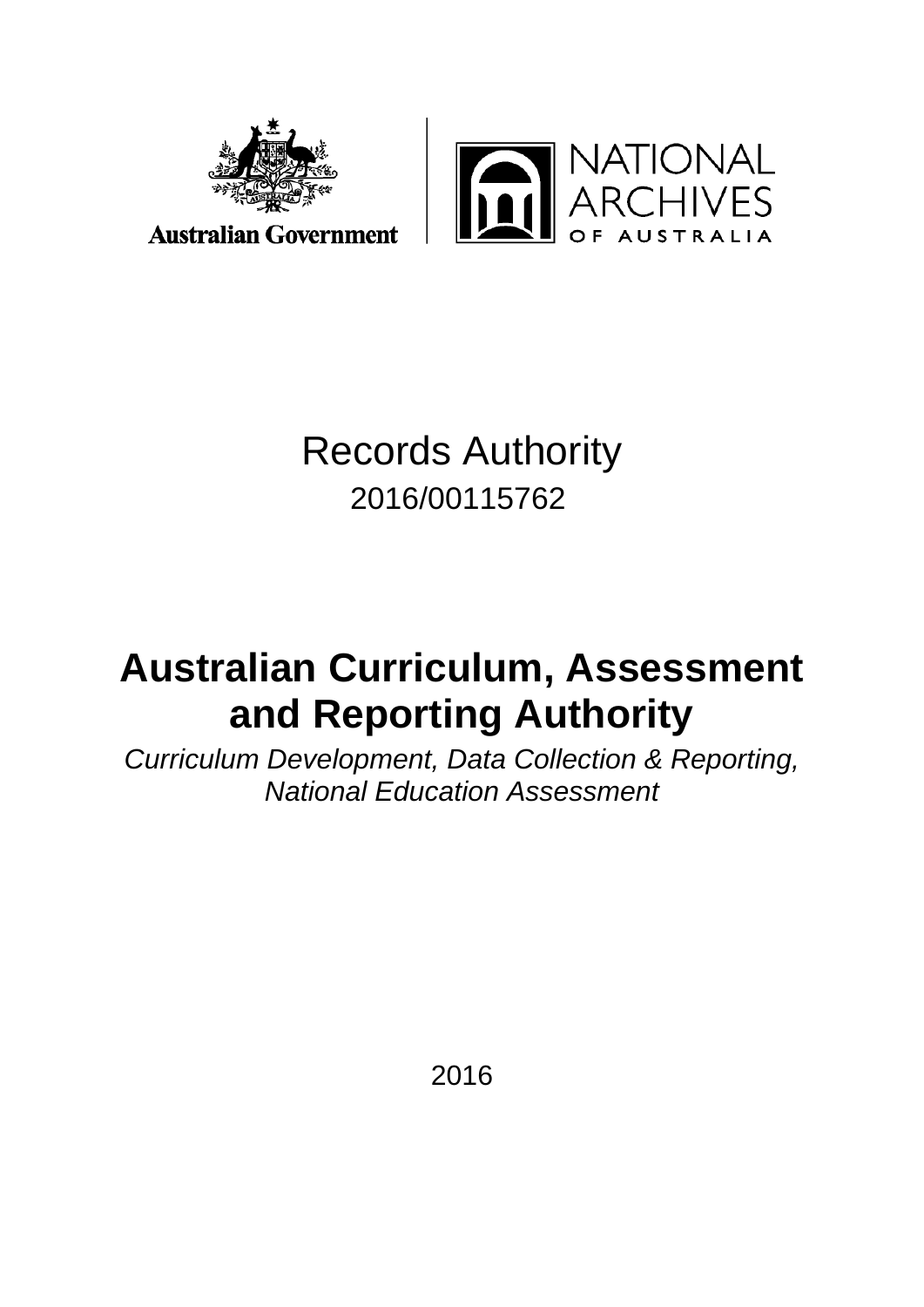



**Australian Government** 

# Records Authority 2016/00115762

# **Australian Curriculum, Assessment and Reporting Authority**

*Curriculum Development, Data Collection & Reporting, National Education Assessment*

2016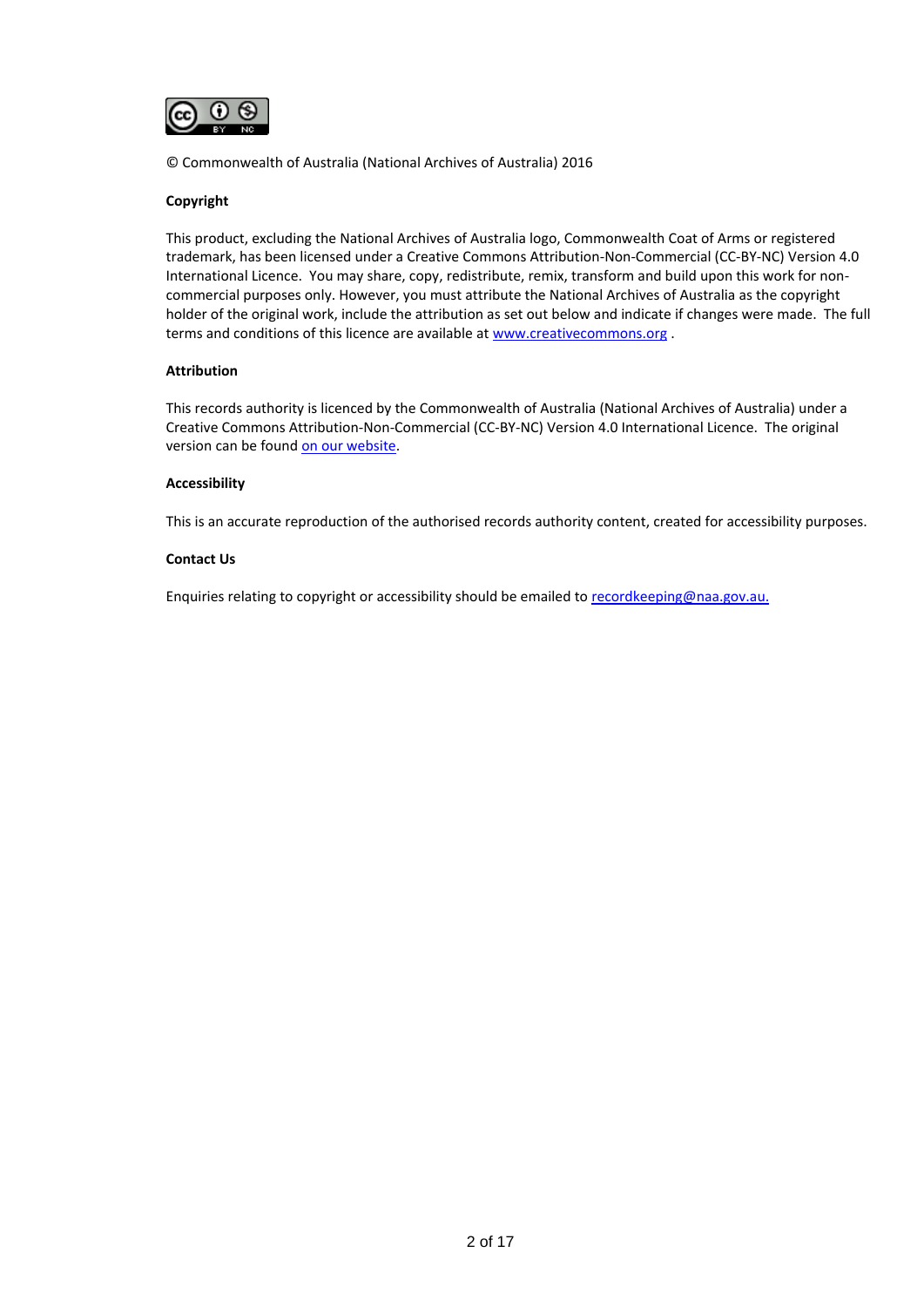

© Commonwealth of Australia (National Archives of Australia) 2016

#### **Copyright**

This product, excluding the National Archives of Australia logo, Commonwealth Coat of Arms or registered trademark, has been licensed under a Creative Commons Attribution-Non-Commercial (CC-BY-NC) Version 4.0 International Licence. You may share, copy, redistribute, remix, transform and build upon this work for noncommercial purposes only. However, you must attribute the National Archives of Australia as the copyright holder of the original work, include the attribution as set out below and indicate if changes were made. The full terms and conditions of this licence are available a[t www.creativecommons.org](http://www.creativecommons.org/).

#### **Attribution**

This records authority is licenced by the Commonwealth of Australia (National Archives of Australia) under a Creative Commons Attribution-Non-Commercial (CC-BY-NC) Version 4.0 International Licence. The original version can be foun[d on our website.](http://www.naa.gov.au/)

#### **Accessibility**

This is an accurate reproduction of the authorised records authority content, created for accessibility purposes.

#### **Contact Us**

Enquiries relating to copyright or accessibility should be emailed to [recordkeeping@naa.gov.au.](mailto:recordkeeping@naa.gov.au)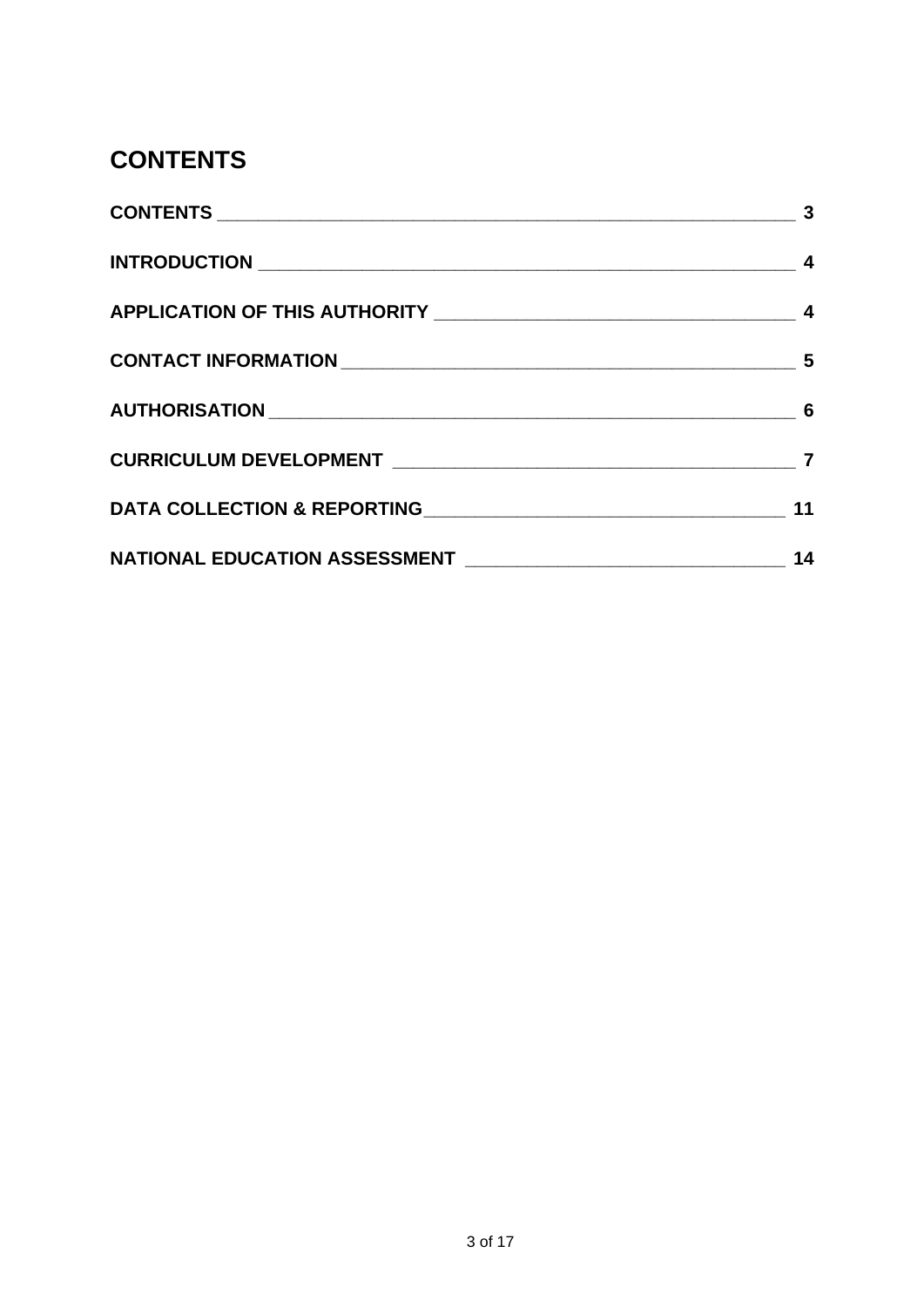### <span id="page-2-0"></span>**CONTENTS**

|                                                                                                                 | $\sim$ 3 |
|-----------------------------------------------------------------------------------------------------------------|----------|
|                                                                                                                 |          |
|                                                                                                                 |          |
|                                                                                                                 |          |
|                                                                                                                 |          |
|                                                                                                                 |          |
| DATA COLLECTION & REPORTING MARKET AND RESIDENCE AND RESIDENCE AND RESIDENCE AND RESIDENCE AND RESIDENCE AND RE | 11       |
|                                                                                                                 | 14       |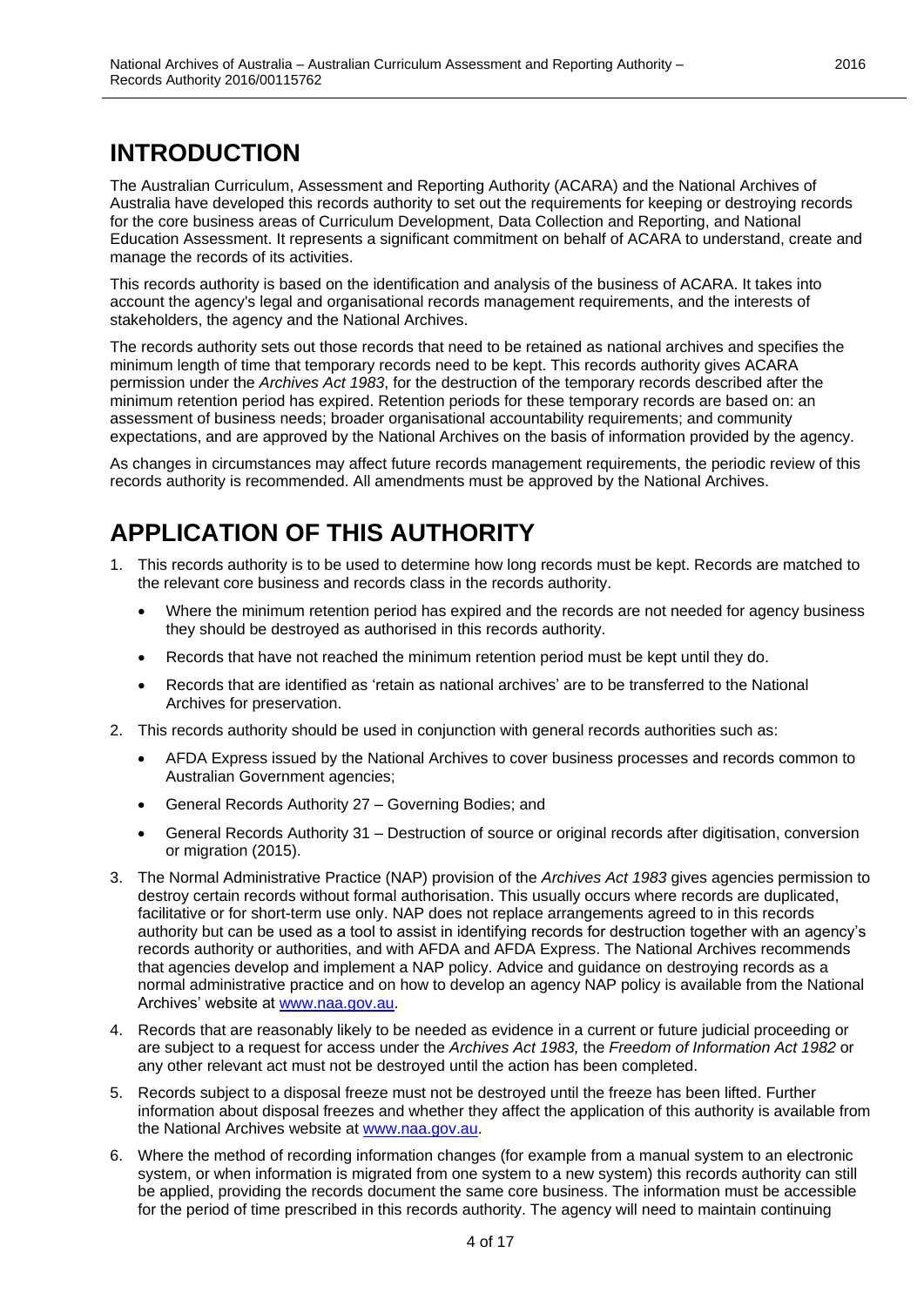### <span id="page-3-0"></span>**INTRODUCTION**

The Australian Curriculum, Assessment and Reporting Authority (ACARA) and the National Archives of Australia have developed this records authority to set out the requirements for keeping or destroying records for the core business areas of Curriculum Development, Data Collection and Reporting, and National Education Assessment. It represents a significant commitment on behalf of ACARA to understand, create and manage the records of its activities.

This records authority is based on the identification and analysis of the business of ACARA. It takes into account the agency's legal and organisational records management requirements, and the interests of stakeholders, the agency and the National Archives.

The records authority sets out those records that need to be retained as national archives and specifies the minimum length of time that temporary records need to be kept. This records authority gives ACARA permission under the *Archives Act 1983*, for the destruction of the temporary records described after the minimum retention period has expired. Retention periods for these temporary records are based on: an assessment of business needs; broader organisational accountability requirements; and community expectations, and are approved by the National Archives on the basis of information provided by the agency.

As changes in circumstances may affect future records management requirements, the periodic review of this records authority is recommended. All amendments must be approved by the National Archives.

### <span id="page-3-1"></span>**APPLICATION OF THIS AUTHORITY**

- 1. This records authority is to be used to determine how long records must be kept. Records are matched to the relevant core business and records class in the records authority.
	- Where the minimum retention period has expired and the records are not needed for agency business they should be destroyed as authorised in this records authority.
	- Records that have not reached the minimum retention period must be kept until they do.
	- Records that are identified as 'retain as national archives' are to be transferred to the National Archives for preservation.
- 2. This records authority should be used in conjunction with general records authorities such as:
	- AFDA Express issued by the National Archives to cover business processes and records common to Australian Government agencies;
	- General Records Authority 27 Governing Bodies; and
	- General Records Authority 31 Destruction of source or original records after digitisation, conversion or migration (2015).
- 3. The Normal Administrative Practice (NAP) provision of the *Archives Act 1983* gives agencies permission to destroy certain records without formal authorisation. This usually occurs where records are duplicated, facilitative or for short-term use only. NAP does not replace arrangements agreed to in this records authority but can be used as a tool to assist in identifying records for destruction together with an agency's records authority or authorities, and with AFDA and AFDA Express. The National Archives recommends that agencies develop and implement a NAP policy. Advice and guidance on destroying records as a normal administrative practice and on how to develop an agency NAP policy is available from the National Archives' website at [www.naa.gov.au.](http://www.naa.gov.au/)
- 4. Records that are reasonably likely to be needed as evidence in a current or future judicial proceeding or are subject to a request for access under the *Archives Act 1983,* the *Freedom of Information Act 1982* or any other relevant act must not be destroyed until the action has been completed.
- 5. Records subject to a disposal freeze must not be destroyed until the freeze has been lifted. Further information about disposal freezes and whether they affect the application of this authority is available from the National Archives website at [www.naa.gov.au.](http://www.naa.gov.au/)
- 6. Where the method of recording information changes (for example from a manual system to an electronic system, or when information is migrated from one system to a new system) this records authority can still be applied, providing the records document the same core business. The information must be accessible for the period of time prescribed in this records authority. The agency will need to maintain continuing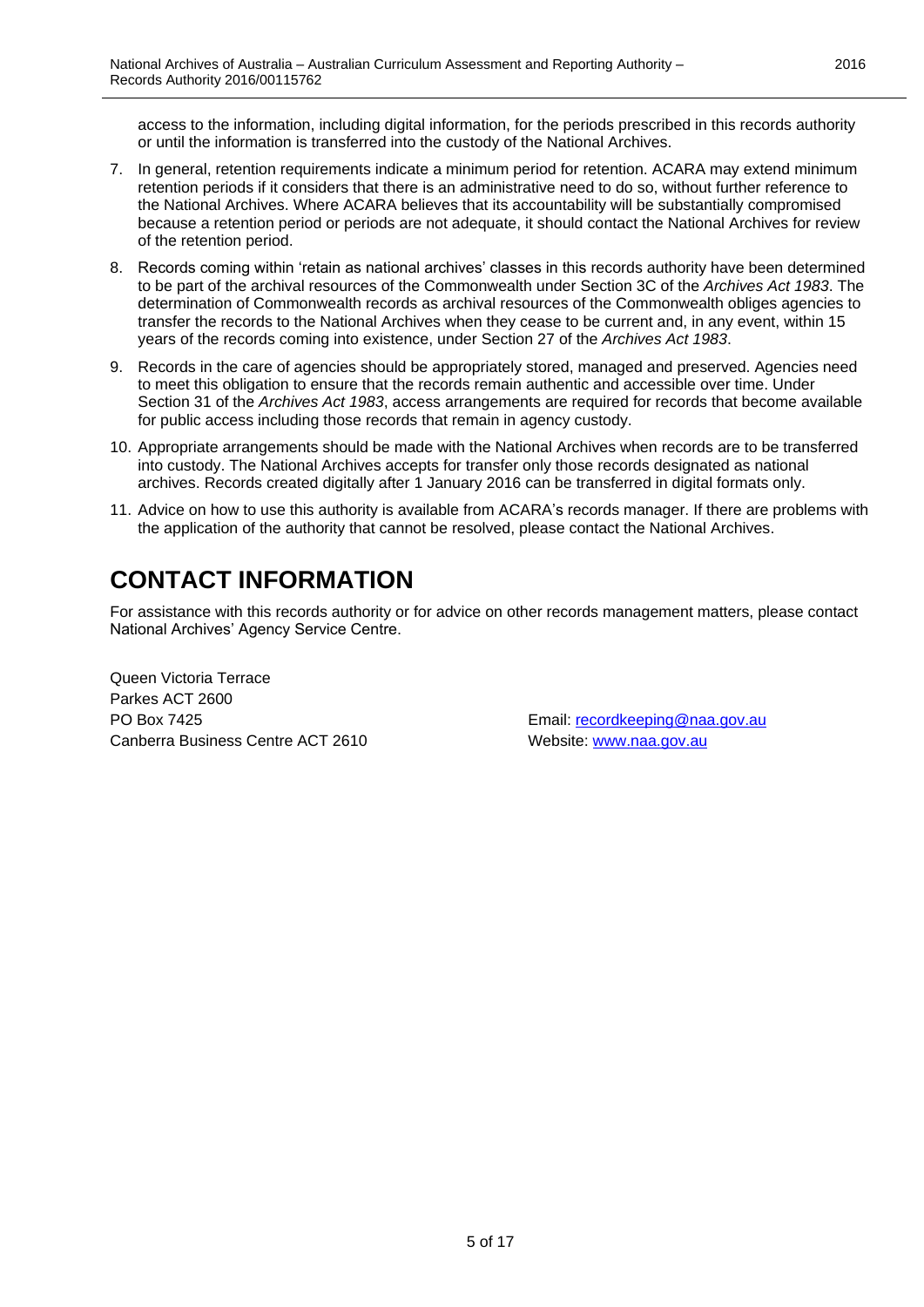access to the information, including digital information, for the periods prescribed in this records authority or until the information is transferred into the custody of the National Archives.

- 7. In general, retention requirements indicate a minimum period for retention. ACARA may extend minimum retention periods if it considers that there is an administrative need to do so, without further reference to the National Archives. Where ACARA believes that its accountability will be substantially compromised because a retention period or periods are not adequate, it should contact the National Archives for review of the retention period.
- 8. Records coming within 'retain as national archives' classes in this records authority have been determined to be part of the archival resources of the Commonwealth under Section 3C of the *Archives Act 1983*. The determination of Commonwealth records as archival resources of the Commonwealth obliges agencies to transfer the records to the National Archives when they cease to be current and, in any event, within 15 years of the records coming into existence, under Section 27 of the *Archives Act 1983*.
- 9. Records in the care of agencies should be appropriately stored, managed and preserved. Agencies need to meet this obligation to ensure that the records remain authentic and accessible over time. Under Section 31 of the *Archives Act 1983*, access arrangements are required for records that become available for public access including those records that remain in agency custody.
- 10. Appropriate arrangements should be made with the National Archives when records are to be transferred into custody. The National Archives accepts for transfer only those records designated as national archives. Records created digitally after 1 January 2016 can be transferred in digital formats only.
- 11. Advice on how to use this authority is available from ACARA's records manager. If there are problems with the application of the authority that cannot be resolved, please contact the National Archives.

# <span id="page-4-0"></span>**CONTACT INFORMATION**

For assistance with this records authority or for advice on other records management matters, please contact National Archives' Agency Service Centre.

Queen Victoria Terrace Parkes ACT 2600 PO Box 7425 Email: [recordkeeping@naa.gov.au](mailto:recordkeeping@naa.gov.au) Canberra Business Centre ACT 2610 Website: [www.naa.gov.au](http://www.naa.gov.au/)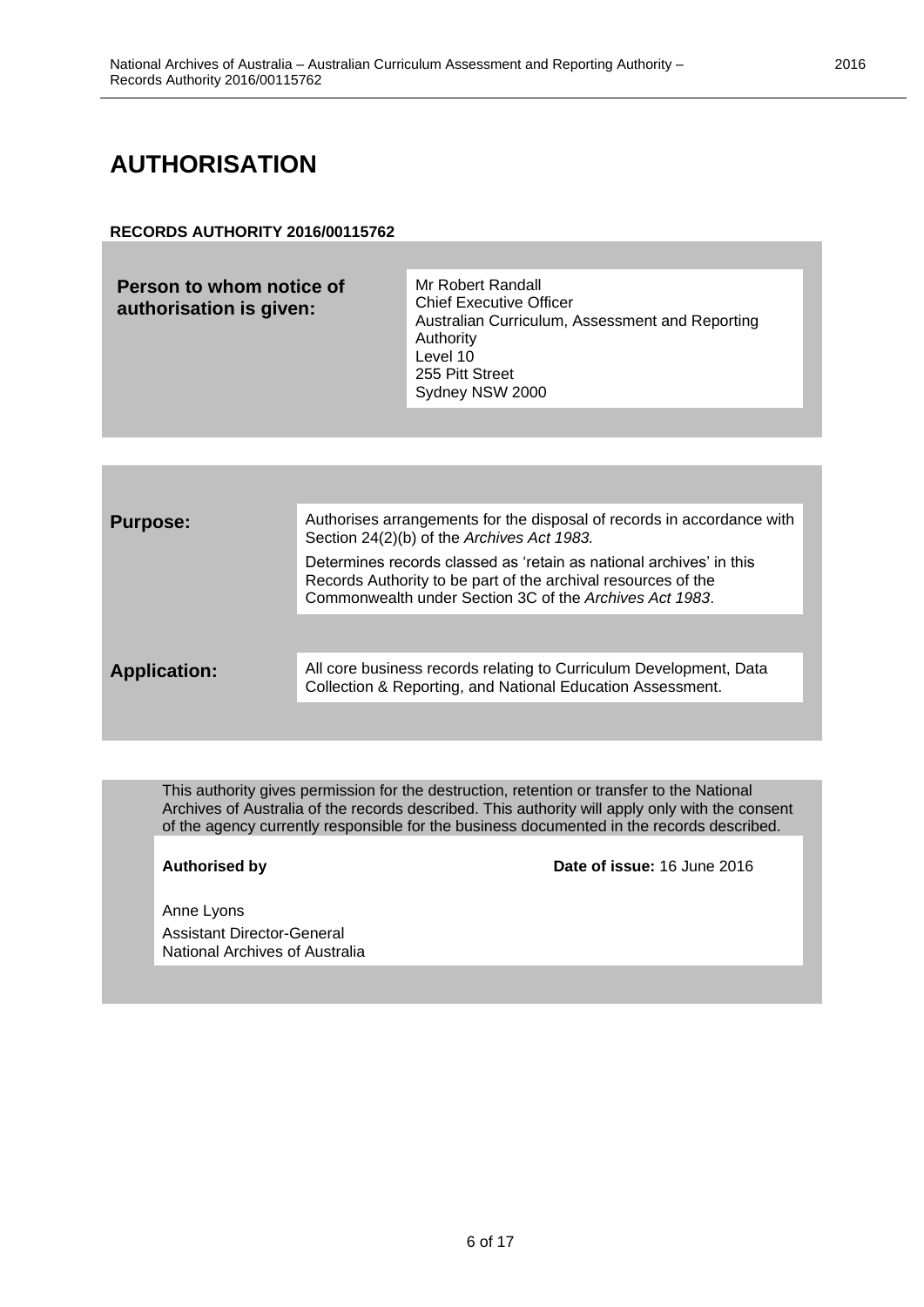### <span id="page-5-0"></span>**AUTHORISATION**

#### **RECORDS AUTHORITY 2016/00115762**

| Person to whom notice of<br>authorisation is given: | Mr Robert Randall<br><b>Chief Executive Officer</b><br>Australian Curriculum, Assessment and Reporting<br>Authority<br>Level 10<br>255 Pitt Street<br>Sydney NSW 2000 |
|-----------------------------------------------------|-----------------------------------------------------------------------------------------------------------------------------------------------------------------------|
|                                                     |                                                                                                                                                                       |

| <b>Purpose:</b>     | Authorises arrangements for the disposal of records in accordance with<br>Section 24(2)(b) of the Archives Act 1983.                                                                            |
|---------------------|-------------------------------------------------------------------------------------------------------------------------------------------------------------------------------------------------|
|                     | Determines records classed as 'retain as national archives' in this<br>Records Authority to be part of the archival resources of the<br>Commonwealth under Section 3C of the Archives Act 1983. |
|                     |                                                                                                                                                                                                 |
| <b>Application:</b> | All core business records relating to Curriculum Development, Data<br>Collection & Reporting, and National Education Assessment.                                                                |
|                     |                                                                                                                                                                                                 |

This authority gives permission for the destruction, retention or transfer to the National Archives of Australia of the records described. This authority will apply only with the consent of the agency currently responsible for the business documented in the records described.

**Authorised by Date of issue:** 16 June 2016

Anne Lyons Assistant Director-General National Archives of Australia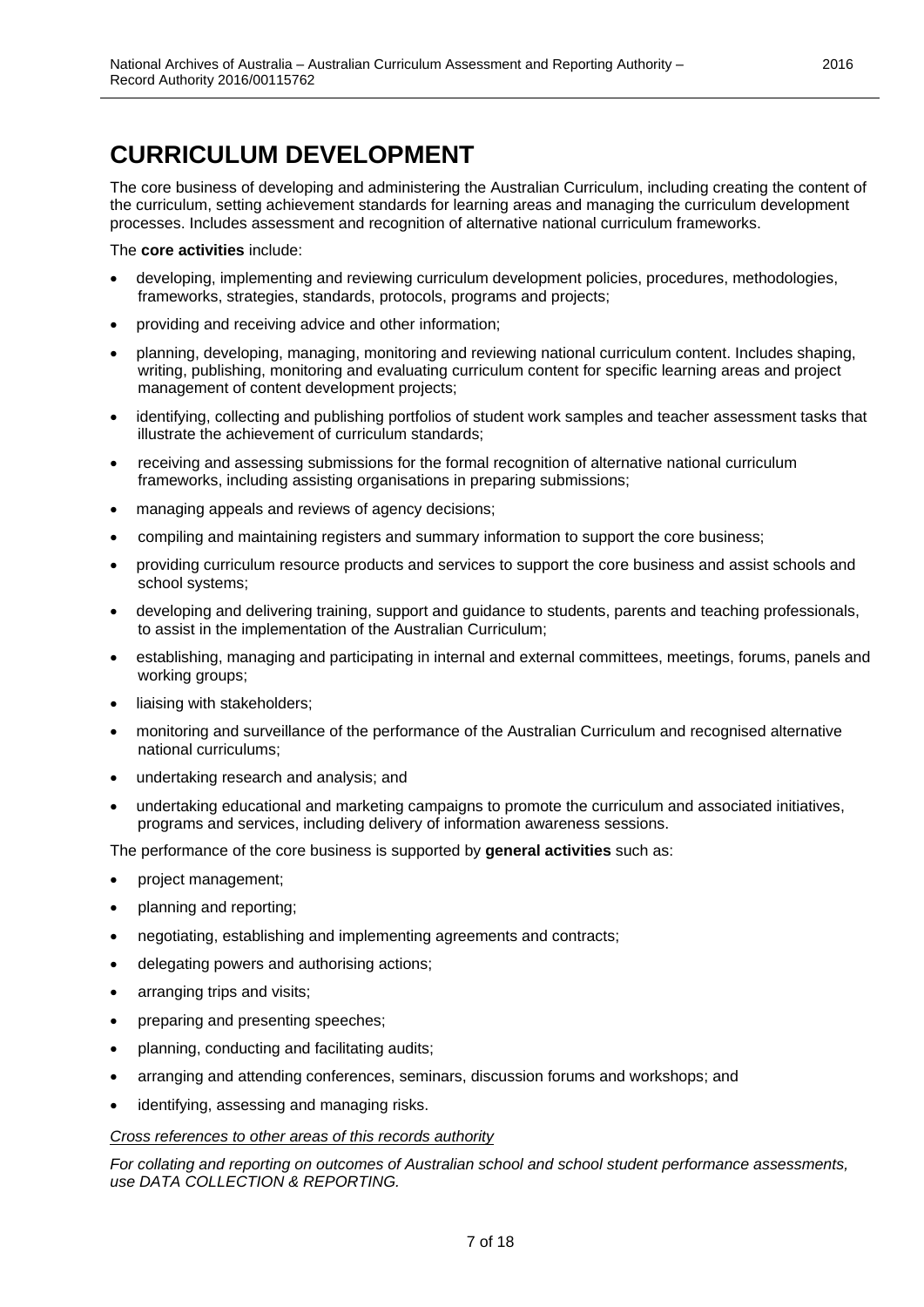<span id="page-6-0"></span>The core business of developing and administering the Australian Curriculum, including creating the content of the curriculum, setting achievement standards for learning areas and managing the curriculum development processes. Includes assessment and recognition of alternative national curriculum frameworks.

The **core activities** include:

- developing, implementing and reviewing curriculum development policies, procedures, methodologies, frameworks, strategies, standards, protocols, programs and projects;
- providing and receiving advice and other information;
- planning, developing, managing, monitoring and reviewing national curriculum content. Includes shaping, writing, publishing, monitoring and evaluating curriculum content for specific learning areas and project management of content development projects;
- identifying, collecting and publishing portfolios of student work samples and teacher assessment tasks that illustrate the achievement of curriculum standards;
- receiving and assessing submissions for the formal recognition of alternative national curriculum frameworks, including assisting organisations in preparing submissions;
- managing appeals and reviews of agency decisions;
- compiling and maintaining registers and summary information to support the core business;
- providing curriculum resource products and services to support the core business and assist schools and school systems;
- developing and delivering training, support and guidance to students, parents and teaching professionals, to assist in the implementation of the Australian Curriculum;
- establishing, managing and participating in internal and external committees, meetings, forums, panels and working groups;
- liaising with stakeholders;
- monitoring and surveillance of the performance of the Australian Curriculum and recognised alternative national curriculums;
- undertaking research and analysis; and
- undertaking educational and marketing campaigns to promote the curriculum and associated initiatives, programs and services, including delivery of information awareness sessions.

The performance of the core business is supported by **general activities** such as:

- project management;
- planning and reporting;
- negotiating, establishing and implementing agreements and contracts;
- delegating powers and authorising actions;
- arranging trips and visits;
- preparing and presenting speeches;
- planning, conducting and facilitating audits;
- arranging and attending conferences, seminars, discussion forums and workshops; and
- identifying, assessing and managing risks.

#### *Cross references to other areas of this records authority*

*For collating and reporting on outcomes of Australian school and school student performance assessments, use DATA COLLECTION & REPORTING.*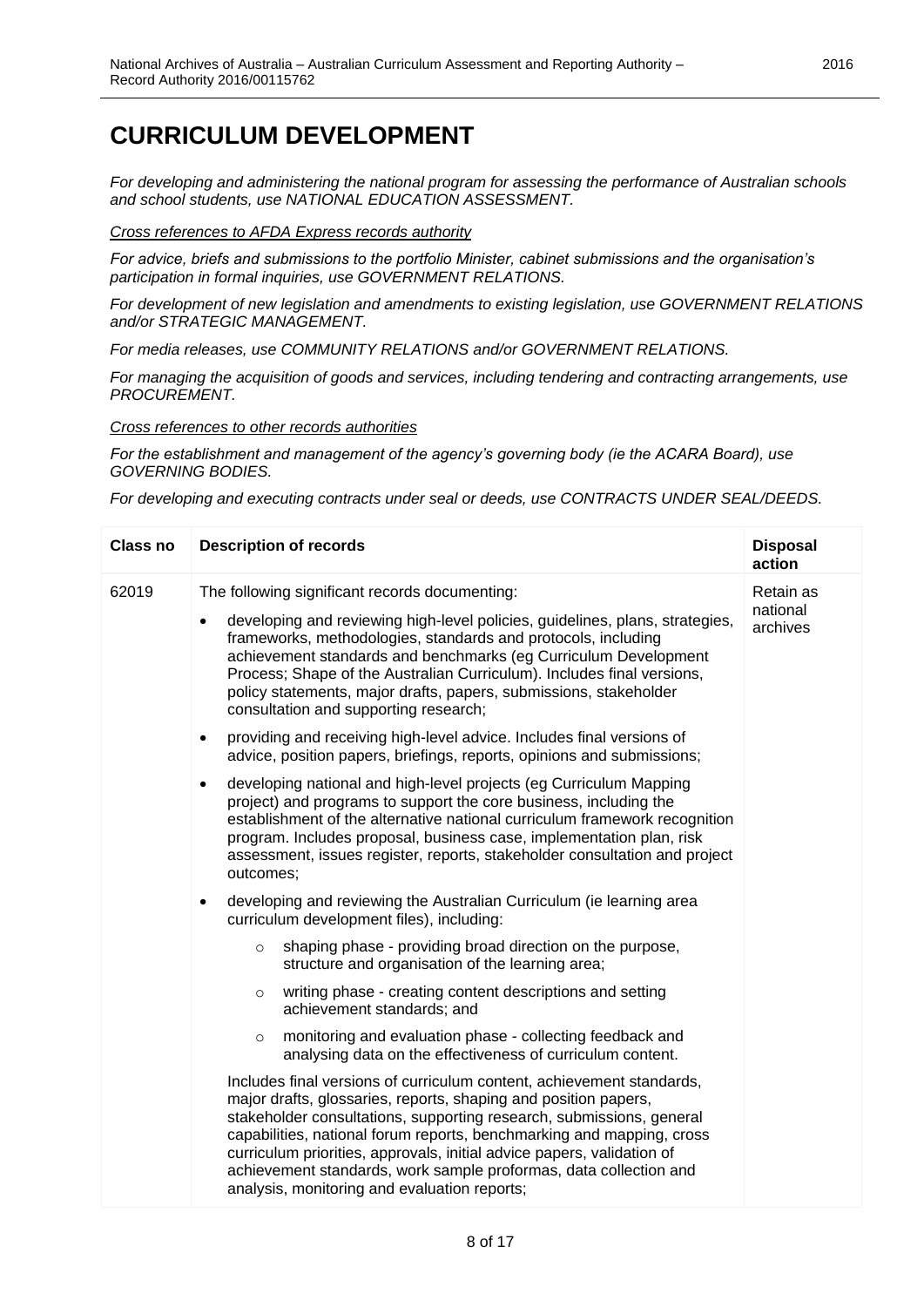*For developing and administering the national program for assessing the performance of Australian schools and school students, use NATIONAL EDUCATION ASSESSMENT.*

#### *Cross references to AFDA Express records authority*

*For advice, briefs and submissions to the portfolio Minister, cabinet submissions and the organisation's participation in formal inquiries, use GOVERNMENT RELATIONS.*

*For development of new legislation and amendments to existing legislation, use GOVERNMENT RELATIONS and/or STRATEGIC MANAGEMENT.*

*For media releases, use COMMUNITY RELATIONS and/or GOVERNMENT RELATIONS.*

*For managing the acquisition of goods and services, including tendering and contracting arrangements, use PROCUREMENT.*

*Cross references to other records authorities*

*For the establishment and management of the agency's governing body (ie the ACARA Board), use GOVERNING BODIES.*

*For developing and executing contracts under seal or deeds, use CONTRACTS UNDER SEAL/DEEDS.*

| <b>Class no</b> | <b>Description of records</b>                                                                                                                                                                                                                                                                                                                                                                                                                                                            | <b>Disposal</b><br>action         |
|-----------------|------------------------------------------------------------------------------------------------------------------------------------------------------------------------------------------------------------------------------------------------------------------------------------------------------------------------------------------------------------------------------------------------------------------------------------------------------------------------------------------|-----------------------------------|
| 62019           | The following significant records documenting:<br>developing and reviewing high-level policies, guidelines, plans, strategies,<br>$\bullet$<br>frameworks, methodologies, standards and protocols, including<br>achievement standards and benchmarks (eg Curriculum Development<br>Process; Shape of the Australian Curriculum). Includes final versions,<br>policy statements, major drafts, papers, submissions, stakeholder<br>consultation and supporting research;                  | Retain as<br>national<br>archives |
|                 | providing and receiving high-level advice. Includes final versions of<br>$\bullet$<br>advice, position papers, briefings, reports, opinions and submissions;                                                                                                                                                                                                                                                                                                                             |                                   |
|                 | developing national and high-level projects (eg Curriculum Mapping<br>$\bullet$<br>project) and programs to support the core business, including the<br>establishment of the alternative national curriculum framework recognition<br>program. Includes proposal, business case, implementation plan, risk<br>assessment, issues register, reports, stakeholder consultation and project<br>outcomes;                                                                                    |                                   |
|                 | developing and reviewing the Australian Curriculum (ie learning area<br>$\bullet$<br>curriculum development files), including:                                                                                                                                                                                                                                                                                                                                                           |                                   |
|                 | shaping phase - providing broad direction on the purpose,<br>$\circ$<br>structure and organisation of the learning area;                                                                                                                                                                                                                                                                                                                                                                 |                                   |
|                 | writing phase - creating content descriptions and setting<br>$\circ$<br>achievement standards; and                                                                                                                                                                                                                                                                                                                                                                                       |                                   |
|                 | monitoring and evaluation phase - collecting feedback and<br>$\circ$<br>analysing data on the effectiveness of curriculum content.                                                                                                                                                                                                                                                                                                                                                       |                                   |
|                 | Includes final versions of curriculum content, achievement standards,<br>major drafts, glossaries, reports, shaping and position papers,<br>stakeholder consultations, supporting research, submissions, general<br>capabilities, national forum reports, benchmarking and mapping, cross<br>curriculum priorities, approvals, initial advice papers, validation of<br>achievement standards, work sample proformas, data collection and<br>analysis, monitoring and evaluation reports; |                                   |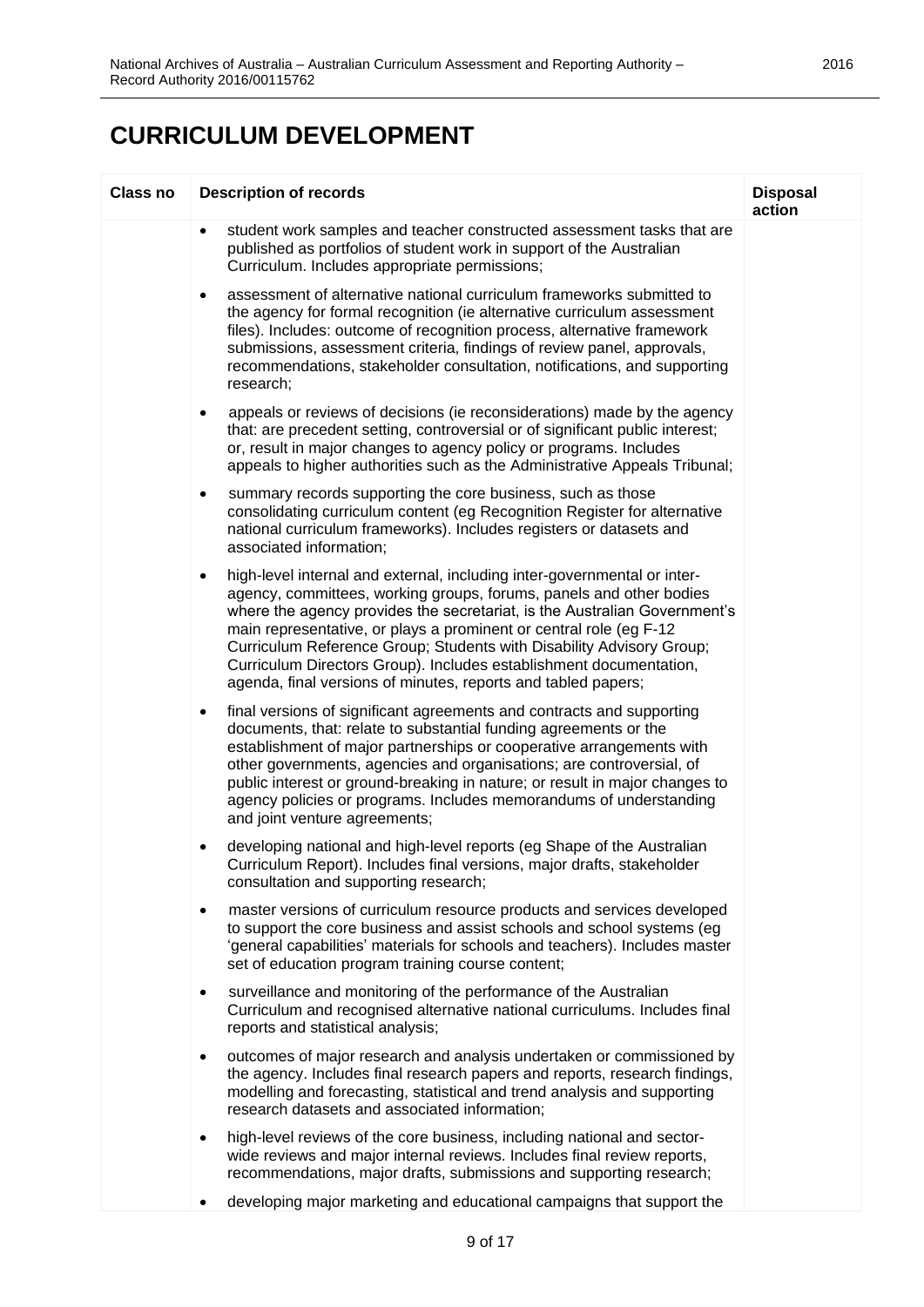| <b>Class no</b> | <b>Description of records</b>                                                                                                                                                                                                                                                                                                                                                                                                                                                                                          | <b>Disposal</b><br>action |
|-----------------|------------------------------------------------------------------------------------------------------------------------------------------------------------------------------------------------------------------------------------------------------------------------------------------------------------------------------------------------------------------------------------------------------------------------------------------------------------------------------------------------------------------------|---------------------------|
|                 | student work samples and teacher constructed assessment tasks that are<br>$\bullet$<br>published as portfolios of student work in support of the Australian<br>Curriculum. Includes appropriate permissions;                                                                                                                                                                                                                                                                                                           |                           |
|                 | assessment of alternative national curriculum frameworks submitted to<br>٠<br>the agency for formal recognition (ie alternative curriculum assessment<br>files). Includes: outcome of recognition process, alternative framework<br>submissions, assessment criteria, findings of review panel, approvals,<br>recommendations, stakeholder consultation, notifications, and supporting<br>research;                                                                                                                    |                           |
|                 | appeals or reviews of decisions (ie reconsiderations) made by the agency<br>$\bullet$<br>that: are precedent setting, controversial or of significant public interest;<br>or, result in major changes to agency policy or programs. Includes<br>appeals to higher authorities such as the Administrative Appeals Tribunal;                                                                                                                                                                                             |                           |
|                 | summary records supporting the core business, such as those<br>٠<br>consolidating curriculum content (eg Recognition Register for alternative<br>national curriculum frameworks). Includes registers or datasets and<br>associated information;                                                                                                                                                                                                                                                                        |                           |
|                 | high-level internal and external, including inter-governmental or inter-<br>٠<br>agency, committees, working groups, forums, panels and other bodies<br>where the agency provides the secretariat, is the Australian Government's<br>main representative, or plays a prominent or central role (eg F-12<br>Curriculum Reference Group; Students with Disability Advisory Group;<br>Curriculum Directors Group). Includes establishment documentation,<br>agenda, final versions of minutes, reports and tabled papers; |                           |
|                 | final versions of significant agreements and contracts and supporting<br>٠<br>documents, that: relate to substantial funding agreements or the<br>establishment of major partnerships or cooperative arrangements with<br>other governments, agencies and organisations; are controversial, of<br>public interest or ground-breaking in nature; or result in major changes to<br>agency policies or programs. Includes memorandums of understanding<br>and joint venture agreements;                                   |                           |
|                 | developing national and high-level reports (eg Shape of the Australian<br>٠<br>Curriculum Report). Includes final versions, major drafts, stakeholder<br>consultation and supporting research;                                                                                                                                                                                                                                                                                                                         |                           |
|                 | master versions of curriculum resource products and services developed<br>٠<br>to support the core business and assist schools and school systems (eg<br>'general capabilities' materials for schools and teachers). Includes master<br>set of education program training course content;                                                                                                                                                                                                                              |                           |
|                 | surveillance and monitoring of the performance of the Australian<br>٠<br>Curriculum and recognised alternative national curriculums. Includes final<br>reports and statistical analysis;                                                                                                                                                                                                                                                                                                                               |                           |
|                 | outcomes of major research and analysis undertaken or commissioned by<br>٠<br>the agency. Includes final research papers and reports, research findings,<br>modelling and forecasting, statistical and trend analysis and supporting<br>research datasets and associated information;                                                                                                                                                                                                                                  |                           |
|                 | high-level reviews of the core business, including national and sector-<br>٠<br>wide reviews and major internal reviews. Includes final review reports,<br>recommendations, major drafts, submissions and supporting research;                                                                                                                                                                                                                                                                                         |                           |
|                 | developing major marketing and educational campaigns that support the<br>٠                                                                                                                                                                                                                                                                                                                                                                                                                                             |                           |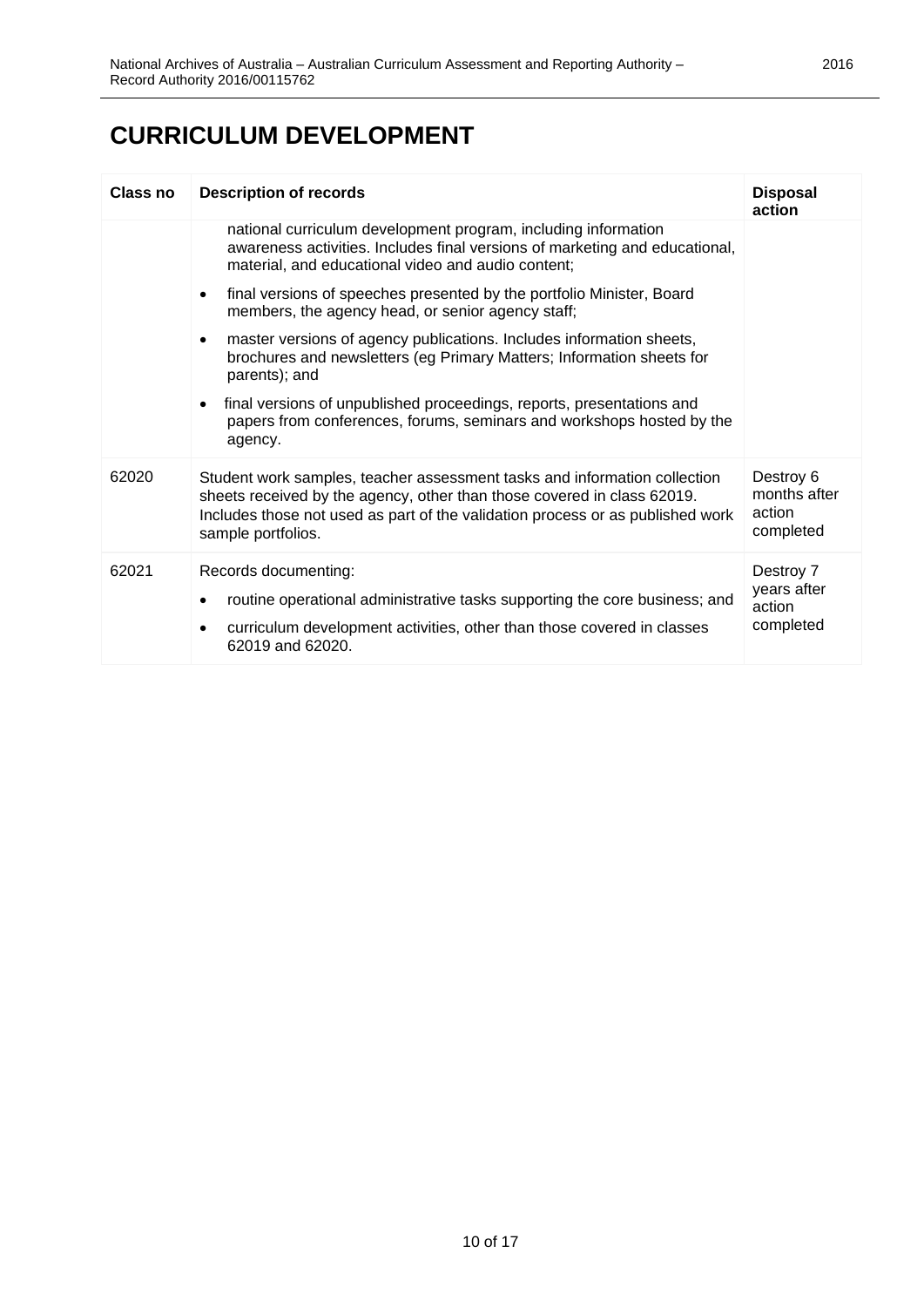| Class no | <b>Description of records</b>                                                                                                                                                                                                                                | <b>Disposal</b><br>action                        |
|----------|--------------------------------------------------------------------------------------------------------------------------------------------------------------------------------------------------------------------------------------------------------------|--------------------------------------------------|
|          | national curriculum development program, including information<br>awareness activities. Includes final versions of marketing and educational,<br>material, and educational video and audio content;                                                          |                                                  |
|          | final versions of speeches presented by the portfolio Minister, Board<br>$\bullet$<br>members, the agency head, or senior agency staff;                                                                                                                      |                                                  |
|          | master versions of agency publications. Includes information sheets,<br>$\bullet$<br>brochures and newsletters (eg Primary Matters; Information sheets for<br>parents); and                                                                                  |                                                  |
|          | final versions of unpublished proceedings, reports, presentations and<br>$\bullet$<br>papers from conferences, forums, seminars and workshops hosted by the<br>agency.                                                                                       |                                                  |
| 62020    | Student work samples, teacher assessment tasks and information collection<br>sheets received by the agency, other than those covered in class 62019.<br>Includes those not used as part of the validation process or as published work<br>sample portfolios. | Destroy 6<br>months after<br>action<br>completed |
| 62021    | Records documenting:<br>routine operational administrative tasks supporting the core business; and<br>$\bullet$<br>curriculum development activities, other than those covered in classes<br>62019 and 62020.                                                | Destroy 7<br>years after<br>action<br>completed  |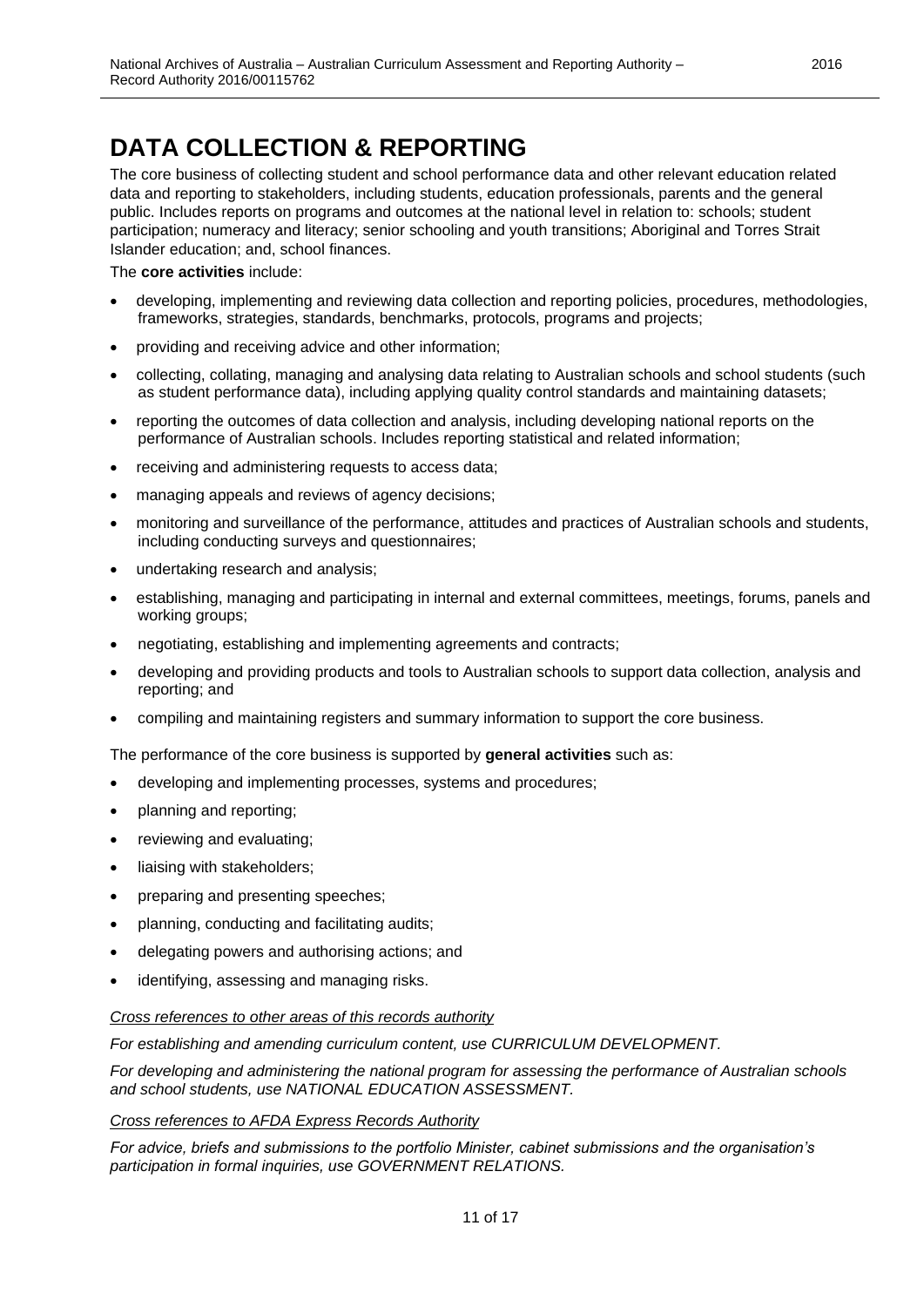# <span id="page-10-0"></span>**DATA COLLECTION & REPORTING**

The core business of collecting student and school performance data and other relevant education related data and reporting to stakeholders, including students, education professionals, parents and the general public. Includes reports on programs and outcomes at the national level in relation to: schools; student participation; numeracy and literacy; senior schooling and youth transitions; Aboriginal and Torres Strait Islander education; and, school finances.

The **core activities** include:

- developing, implementing and reviewing data collection and reporting policies, procedures, methodologies, frameworks, strategies, standards, benchmarks, protocols, programs and projects;
- providing and receiving advice and other information;
- collecting, collating, managing and analysing data relating to Australian schools and school students (such as student performance data), including applying quality control standards and maintaining datasets;
- reporting the outcomes of data collection and analysis, including developing national reports on the performance of Australian schools. Includes reporting statistical and related information;
- receiving and administering requests to access data;
- managing appeals and reviews of agency decisions;
- monitoring and surveillance of the performance, attitudes and practices of Australian schools and students, including conducting surveys and questionnaires;
- undertaking research and analysis;
- establishing, managing and participating in internal and external committees, meetings, forums, panels and working groups;
- negotiating, establishing and implementing agreements and contracts;
- developing and providing products and tools to Australian schools to support data collection, analysis and reporting; and
- compiling and maintaining registers and summary information to support the core business.

The performance of the core business is supported by **general activities** such as:

- developing and implementing processes, systems and procedures;
- planning and reporting;
- reviewing and evaluating;
- liaising with stakeholders;
- preparing and presenting speeches;
- planning, conducting and facilitating audits;
- delegating powers and authorising actions; and
- identifying, assessing and managing risks.

#### *Cross references to other areas of this records authority*

*For establishing and amending curriculum content, use CURRICULUM DEVELOPMENT.*

*For developing and administering the national program for assessing the performance of Australian schools and school students, use NATIONAL EDUCATION ASSESSMENT.*

#### *Cross references to AFDA Express Records Authority*

*For advice, briefs and submissions to the portfolio Minister, cabinet submissions and the organisation's participation in formal inquiries, use GOVERNMENT RELATIONS.*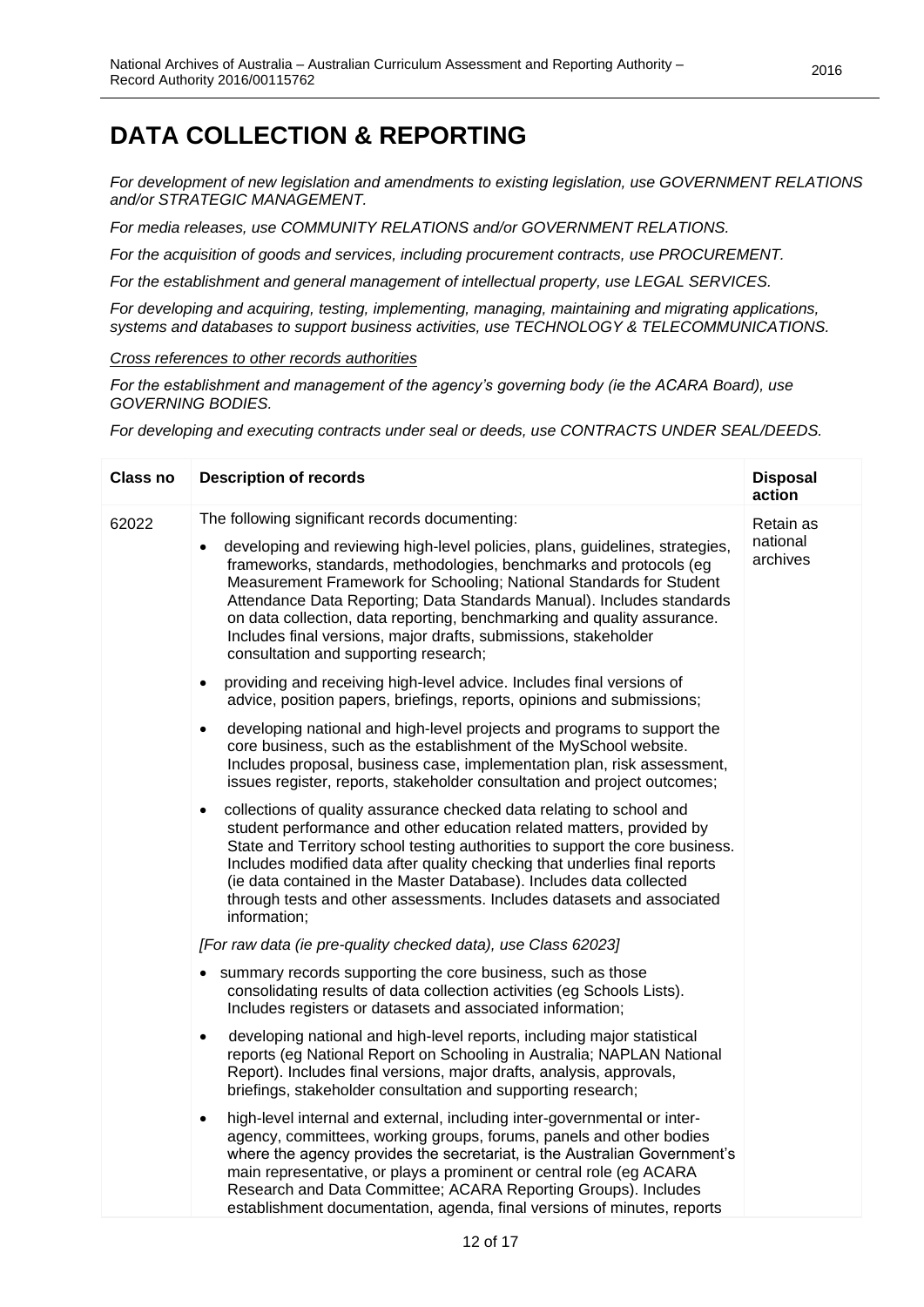### **DATA COLLECTION & REPORTING**

*For development of new legislation and amendments to existing legislation, use GOVERNMENT RELATIONS and/or STRATEGIC MANAGEMENT.*

*For media releases, use COMMUNITY RELATIONS and/or GOVERNMENT RELATIONS.*

*For the acquisition of goods and services, including procurement contracts, use PROCUREMENT.*

*For the establishment and general management of intellectual property, use LEGAL SERVICES.*

*For developing and acquiring, testing, implementing, managing, maintaining and migrating applications, systems and databases to support business activities, use TECHNOLOGY & TELECOMMUNICATIONS.*

*Cross references to other records authorities*

*For the establishment and management of the agency's governing body (ie the ACARA Board), use GOVERNING BODIES.*

*For developing and executing contracts under seal or deeds, use CONTRACTS UNDER SEAL/DEEDS.*

| <b>Class no</b> | <b>Description of records</b>                                                                                                                                                                                                                                                                                                                                                                                                                                                                                                               | <b>Disposal</b><br>action         |
|-----------------|---------------------------------------------------------------------------------------------------------------------------------------------------------------------------------------------------------------------------------------------------------------------------------------------------------------------------------------------------------------------------------------------------------------------------------------------------------------------------------------------------------------------------------------------|-----------------------------------|
| 62022           | The following significant records documenting:<br>developing and reviewing high-level policies, plans, guidelines, strategies,<br>frameworks, standards, methodologies, benchmarks and protocols (eg<br>Measurement Framework for Schooling; National Standards for Student<br>Attendance Data Reporting; Data Standards Manual). Includes standards<br>on data collection, data reporting, benchmarking and quality assurance.<br>Includes final versions, major drafts, submissions, stakeholder<br>consultation and supporting research; | Retain as<br>national<br>archives |
|                 | providing and receiving high-level advice. Includes final versions of<br>$\bullet$<br>advice, position papers, briefings, reports, opinions and submissions;                                                                                                                                                                                                                                                                                                                                                                                |                                   |
|                 | developing national and high-level projects and programs to support the<br>$\bullet$<br>core business, such as the establishment of the MySchool website.<br>Includes proposal, business case, implementation plan, risk assessment,<br>issues register, reports, stakeholder consultation and project outcomes;                                                                                                                                                                                                                            |                                   |
|                 | collections of quality assurance checked data relating to school and<br>$\bullet$<br>student performance and other education related matters, provided by<br>State and Territory school testing authorities to support the core business.<br>Includes modified data after quality checking that underlies final reports<br>(ie data contained in the Master Database). Includes data collected<br>through tests and other assessments. Includes datasets and associated<br>information;                                                     |                                   |
|                 | [For raw data (ie pre-quality checked data), use Class 62023]                                                                                                                                                                                                                                                                                                                                                                                                                                                                               |                                   |
|                 | summary records supporting the core business, such as those<br>$\bullet$<br>consolidating results of data collection activities (eg Schools Lists).<br>Includes registers or datasets and associated information;                                                                                                                                                                                                                                                                                                                           |                                   |
|                 | developing national and high-level reports, including major statistical<br>$\bullet$<br>reports (eg National Report on Schooling in Australia; NAPLAN National<br>Report). Includes final versions, major drafts, analysis, approvals,<br>briefings, stakeholder consultation and supporting research;                                                                                                                                                                                                                                      |                                   |
|                 | high-level internal and external, including inter-governmental or inter-<br>$\bullet$<br>agency, committees, working groups, forums, panels and other bodies<br>where the agency provides the secretariat, is the Australian Government's<br>main representative, or plays a prominent or central role (eg ACARA<br>Research and Data Committee; ACARA Reporting Groups). Includes<br>establishment documentation, agenda, final versions of minutes, reports                                                                               |                                   |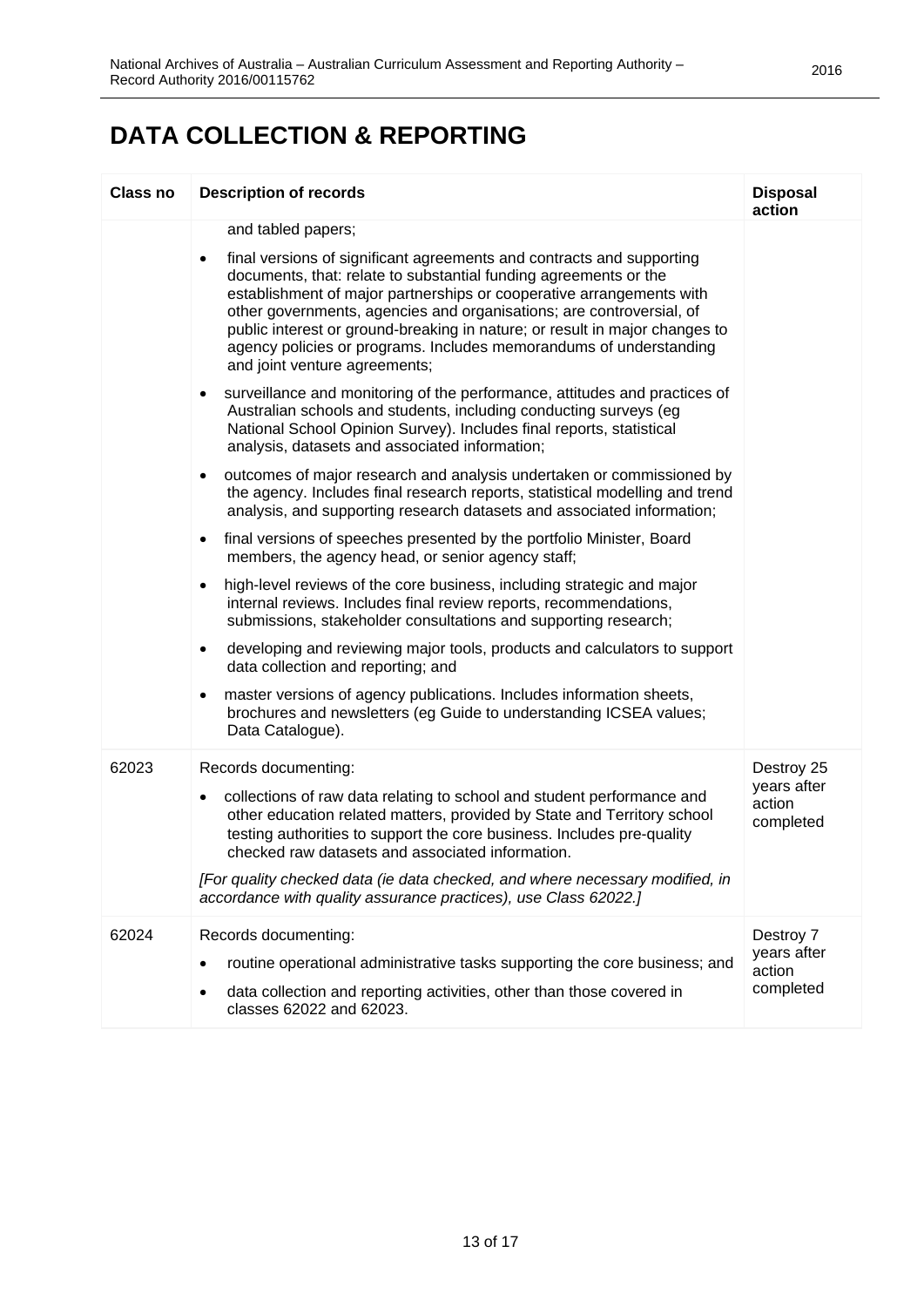# **DATA COLLECTION & REPORTING**

| <b>Class no</b> | <b>Description of records</b>                                                                                                                                                                                                                                                                                                                                                                                                                                                                                                                                                                                                                                                                                                                                                                                                                                                                                                                                                                                                                                                                                                                                                                                                                                                                                                                                                                                                                                                                                                                                                                                                                                                                                                    | <b>Disposal</b><br>action                        |
|-----------------|----------------------------------------------------------------------------------------------------------------------------------------------------------------------------------------------------------------------------------------------------------------------------------------------------------------------------------------------------------------------------------------------------------------------------------------------------------------------------------------------------------------------------------------------------------------------------------------------------------------------------------------------------------------------------------------------------------------------------------------------------------------------------------------------------------------------------------------------------------------------------------------------------------------------------------------------------------------------------------------------------------------------------------------------------------------------------------------------------------------------------------------------------------------------------------------------------------------------------------------------------------------------------------------------------------------------------------------------------------------------------------------------------------------------------------------------------------------------------------------------------------------------------------------------------------------------------------------------------------------------------------------------------------------------------------------------------------------------------------|--------------------------------------------------|
|                 | and tabled papers;<br>final versions of significant agreements and contracts and supporting<br>$\bullet$<br>documents, that: relate to substantial funding agreements or the<br>establishment of major partnerships or cooperative arrangements with<br>other governments, agencies and organisations; are controversial, of<br>public interest or ground-breaking in nature; or result in major changes to<br>agency policies or programs. Includes memorandums of understanding<br>and joint venture agreements;<br>surveillance and monitoring of the performance, attitudes and practices of<br>$\bullet$<br>Australian schools and students, including conducting surveys (eg<br>National School Opinion Survey). Includes final reports, statistical<br>analysis, datasets and associated information;<br>outcomes of major research and analysis undertaken or commissioned by<br>$\bullet$<br>the agency. Includes final research reports, statistical modelling and trend<br>analysis, and supporting research datasets and associated information;<br>final versions of speeches presented by the portfolio Minister, Board<br>members, the agency head, or senior agency staff;<br>high-level reviews of the core business, including strategic and major<br>$\bullet$<br>internal reviews. Includes final review reports, recommendations,<br>submissions, stakeholder consultations and supporting research;<br>developing and reviewing major tools, products and calculators to support<br>$\bullet$<br>data collection and reporting; and<br>master versions of agency publications. Includes information sheets,<br>٠<br>brochures and newsletters (eg Guide to understanding ICSEA values;<br>Data Catalogue). |                                                  |
| 62023           | Records documenting:<br>collections of raw data relating to school and student performance and<br>other education related matters, provided by State and Territory school<br>testing authorities to support the core business. Includes pre-quality<br>checked raw datasets and associated information.<br>[For quality checked data (ie data checked, and where necessary modified, in<br>accordance with quality assurance practices), use Class 62022.]                                                                                                                                                                                                                                                                                                                                                                                                                                                                                                                                                                                                                                                                                                                                                                                                                                                                                                                                                                                                                                                                                                                                                                                                                                                                       | Destroy 25<br>years after<br>action<br>completed |
| 62024           | Records documenting:<br>routine operational administrative tasks supporting the core business; and<br>data collection and reporting activities, other than those covered in<br>classes 62022 and 62023.                                                                                                                                                                                                                                                                                                                                                                                                                                                                                                                                                                                                                                                                                                                                                                                                                                                                                                                                                                                                                                                                                                                                                                                                                                                                                                                                                                                                                                                                                                                          | Destroy 7<br>years after<br>action<br>completed  |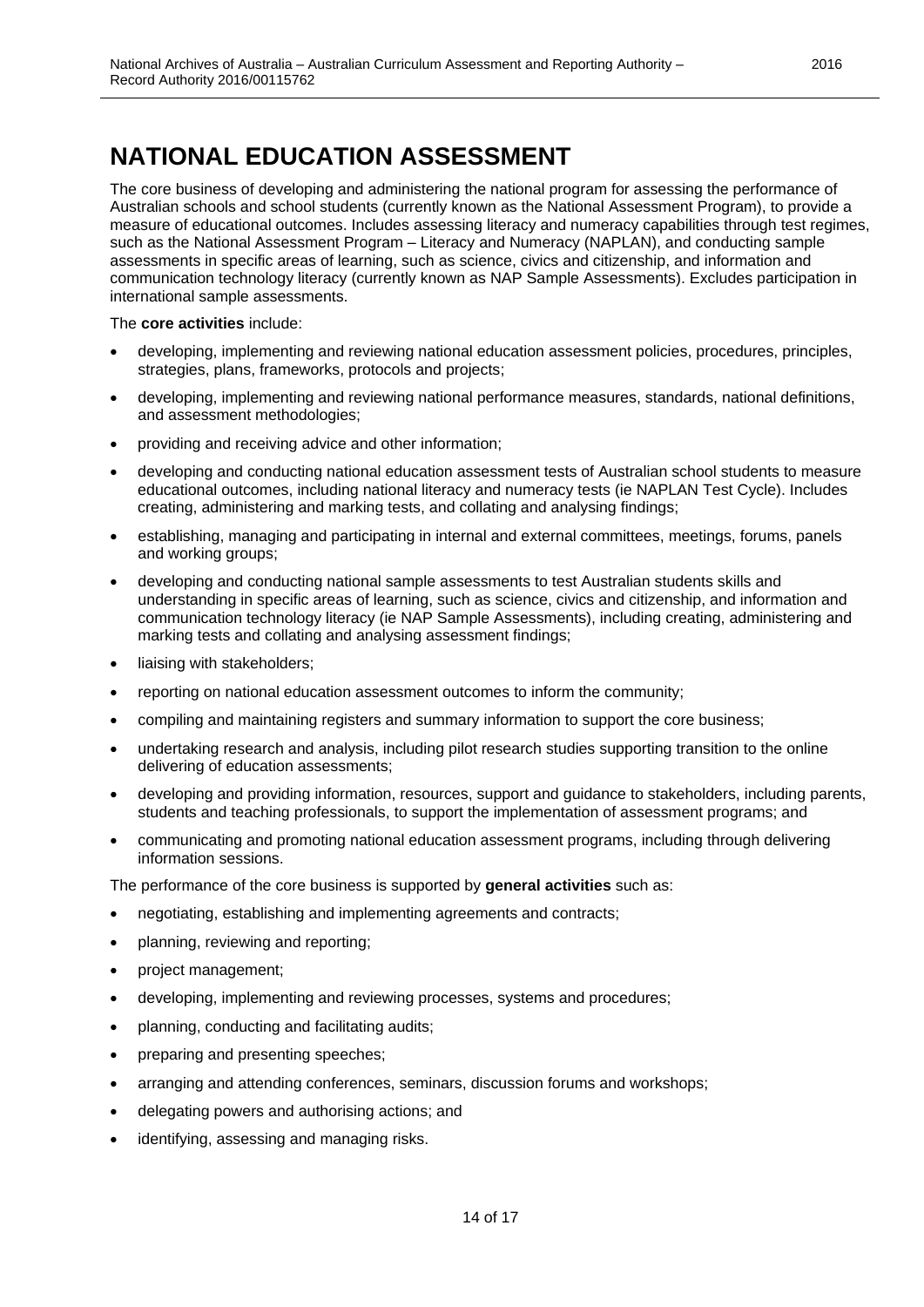<span id="page-13-0"></span>The core business of developing and administering the national program for assessing the performance of Australian schools and school students (currently known as the National Assessment Program), to provide a measure of educational outcomes. Includes assessing literacy and numeracy capabilities through test regimes, such as the National Assessment Program – Literacy and Numeracy (NAPLAN), and conducting sample assessments in specific areas of learning, such as science, civics and citizenship, and information and communication technology literacy (currently known as NAP Sample Assessments). Excludes participation in international sample assessments.

The **core activities** include:

- developing, implementing and reviewing national education assessment policies, procedures, principles, strategies, plans, frameworks, protocols and projects;
- developing, implementing and reviewing national performance measures, standards, national definitions, and assessment methodologies;
- providing and receiving advice and other information;
- developing and conducting national education assessment tests of Australian school students to measure educational outcomes, including national literacy and numeracy tests (ie NAPLAN Test Cycle). Includes creating, administering and marking tests, and collating and analysing findings;
- establishing, managing and participating in internal and external committees, meetings, forums, panels and working groups;
- developing and conducting national sample assessments to test Australian students skills and understanding in specific areas of learning, such as science, civics and citizenship, and information and communication technology literacy (ie NAP Sample Assessments), including creating, administering and marking tests and collating and analysing assessment findings;
- liaising with stakeholders;
- reporting on national education assessment outcomes to inform the community;
- compiling and maintaining registers and summary information to support the core business;
- undertaking research and analysis, including pilot research studies supporting transition to the online delivering of education assessments;
- developing and providing information, resources, support and guidance to stakeholders, including parents, students and teaching professionals, to support the implementation of assessment programs; and
- communicating and promoting national education assessment programs, including through delivering information sessions.

The performance of the core business is supported by **general activities** such as:

- negotiating, establishing and implementing agreements and contracts;
- planning, reviewing and reporting;
- project management;
- developing, implementing and reviewing processes, systems and procedures;
- planning, conducting and facilitating audits;
- preparing and presenting speeches;
- arranging and attending conferences, seminars, discussion forums and workshops;
- delegating powers and authorising actions; and
- identifying, assessing and managing risks.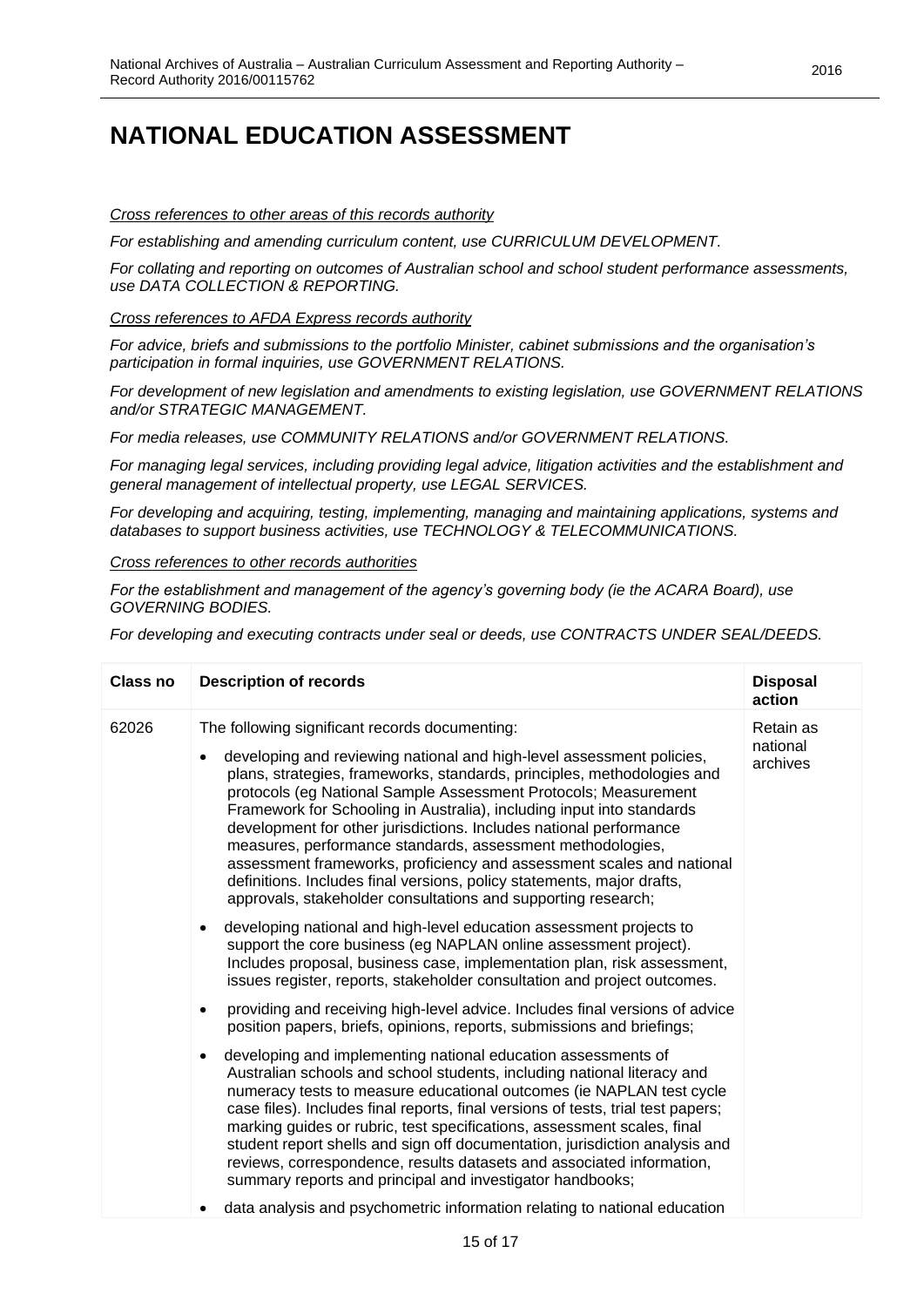#### *Cross references to other areas of this records authority*

*For establishing and amending curriculum content, use CURRICULUM DEVELOPMENT.*

*For collating and reporting on outcomes of Australian school and school student performance assessments, use DATA COLLECTION & REPORTING.* 

*Cross references to AFDA Express records authority*

*For advice, briefs and submissions to the portfolio Minister, cabinet submissions and the organisation's participation in formal inquiries, use GOVERNMENT RELATIONS.*

*For development of new legislation and amendments to existing legislation, use GOVERNMENT RELATIONS and/or STRATEGIC MANAGEMENT.*

*For media releases, use COMMUNITY RELATIONS and/or GOVERNMENT RELATIONS.*

*For managing legal services, including providing legal advice, litigation activities and the establishment and general management of intellectual property, use LEGAL SERVICES.* 

*For developing and acquiring, testing, implementing, managing and maintaining applications, systems and databases to support business activities, use TECHNOLOGY & TELECOMMUNICATIONS.*

#### *Cross references to other records authorities*

*For the establishment and management of the agency's governing body (ie the ACARA Board), use GOVERNING BODIES.*

*For developing and executing contracts under seal or deeds, use CONTRACTS UNDER SEAL/DEEDS.*

| Class no | <b>Description of records</b>                                                                                                                                                                                                                                                                                                                                                                                                                                                                                                                                                                                                                                                                          | <b>Disposal</b><br>action         |
|----------|--------------------------------------------------------------------------------------------------------------------------------------------------------------------------------------------------------------------------------------------------------------------------------------------------------------------------------------------------------------------------------------------------------------------------------------------------------------------------------------------------------------------------------------------------------------------------------------------------------------------------------------------------------------------------------------------------------|-----------------------------------|
| 62026    | The following significant records documenting:<br>developing and reviewing national and high-level assessment policies,<br>plans, strategies, frameworks, standards, principles, methodologies and<br>protocols (eg National Sample Assessment Protocols; Measurement<br>Framework for Schooling in Australia), including input into standards<br>development for other jurisdictions. Includes national performance<br>measures, performance standards, assessment methodologies,<br>assessment frameworks, proficiency and assessment scales and national<br>definitions. Includes final versions, policy statements, major drafts,<br>approvals, stakeholder consultations and supporting research; | Retain as<br>national<br>archives |
|          | developing national and high-level education assessment projects to<br>support the core business (eg NAPLAN online assessment project).<br>Includes proposal, business case, implementation plan, risk assessment,<br>issues register, reports, stakeholder consultation and project outcomes.                                                                                                                                                                                                                                                                                                                                                                                                         |                                   |
|          | providing and receiving high-level advice. Includes final versions of advice<br>position papers, briefs, opinions, reports, submissions and briefings;                                                                                                                                                                                                                                                                                                                                                                                                                                                                                                                                                 |                                   |
|          | developing and implementing national education assessments of<br>Australian schools and school students, including national literacy and<br>numeracy tests to measure educational outcomes (ie NAPLAN test cycle<br>case files). Includes final reports, final versions of tests, trial test papers;<br>marking guides or rubric, test specifications, assessment scales, final<br>student report shells and sign off documentation, jurisdiction analysis and<br>reviews, correspondence, results datasets and associated information,<br>summary reports and principal and investigator handbooks;                                                                                                   |                                   |
|          | data analysis and psychometric information relating to national education                                                                                                                                                                                                                                                                                                                                                                                                                                                                                                                                                                                                                              |                                   |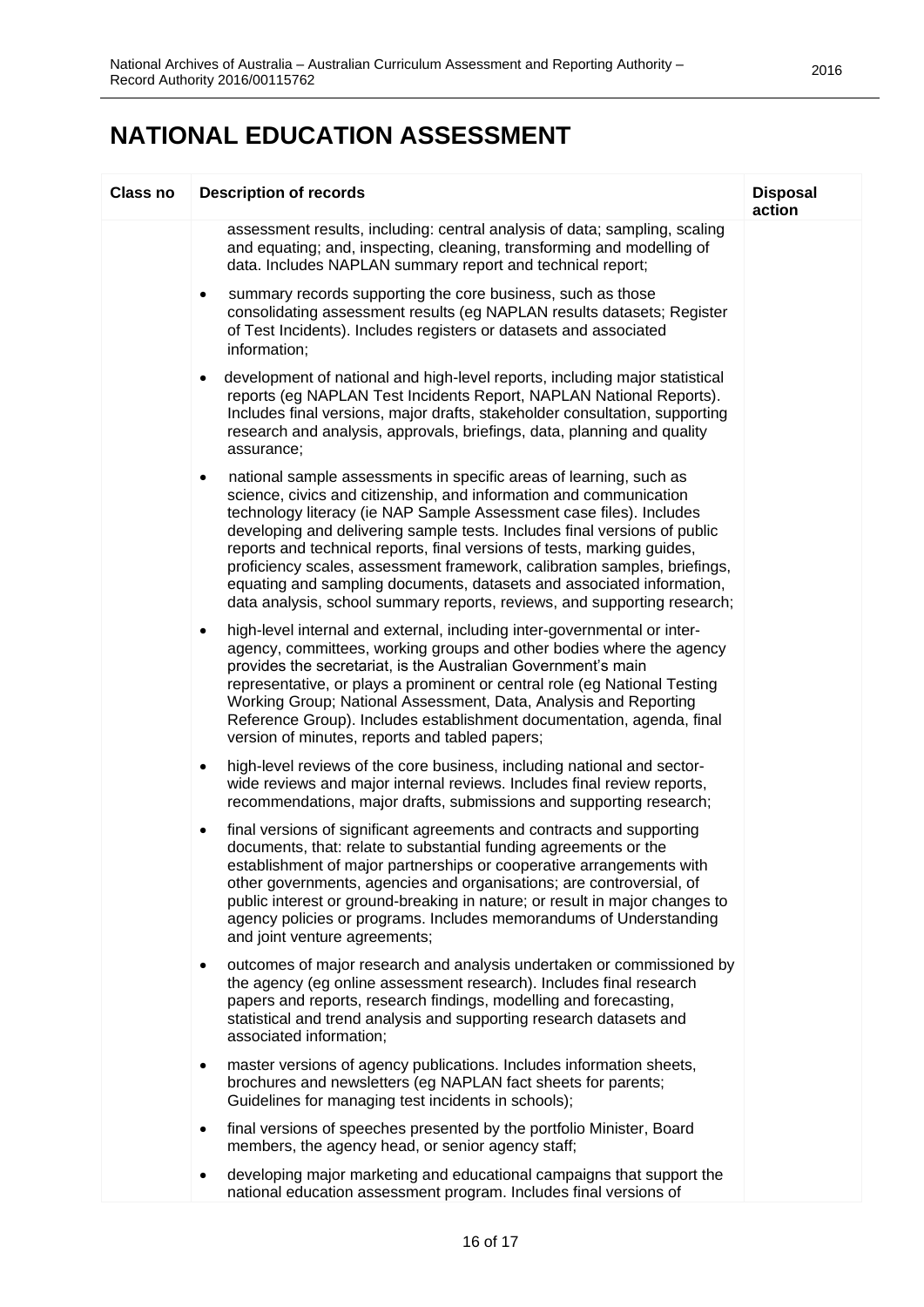| <b>Class no</b> | <b>Description of records</b>                                                                                                                                                                                                                                                                                                                                                                                                                                                                                                                                                                                          | <b>Disposal</b><br>action |
|-----------------|------------------------------------------------------------------------------------------------------------------------------------------------------------------------------------------------------------------------------------------------------------------------------------------------------------------------------------------------------------------------------------------------------------------------------------------------------------------------------------------------------------------------------------------------------------------------------------------------------------------------|---------------------------|
|                 | assessment results, including: central analysis of data; sampling, scaling<br>and equating; and, inspecting, cleaning, transforming and modelling of<br>data. Includes NAPLAN summary report and technical report;                                                                                                                                                                                                                                                                                                                                                                                                     |                           |
|                 | summary records supporting the core business, such as those<br>$\bullet$<br>consolidating assessment results (eg NAPLAN results datasets; Register<br>of Test Incidents). Includes registers or datasets and associated<br>information;                                                                                                                                                                                                                                                                                                                                                                                |                           |
|                 | development of national and high-level reports, including major statistical<br>$\bullet$<br>reports (eg NAPLAN Test Incidents Report, NAPLAN National Reports).<br>Includes final versions, major drafts, stakeholder consultation, supporting<br>research and analysis, approvals, briefings, data, planning and quality<br>assurance;                                                                                                                                                                                                                                                                                |                           |
|                 | national sample assessments in specific areas of learning, such as<br>$\bullet$<br>science, civics and citizenship, and information and communication<br>technology literacy (ie NAP Sample Assessment case files). Includes<br>developing and delivering sample tests. Includes final versions of public<br>reports and technical reports, final versions of tests, marking guides,<br>proficiency scales, assessment framework, calibration samples, briefings,<br>equating and sampling documents, datasets and associated information,<br>data analysis, school summary reports, reviews, and supporting research; |                           |
|                 | high-level internal and external, including inter-governmental or inter-<br>٠<br>agency, committees, working groups and other bodies where the agency<br>provides the secretariat, is the Australian Government's main<br>representative, or plays a prominent or central role (eg National Testing<br>Working Group; National Assessment, Data, Analysis and Reporting<br>Reference Group). Includes establishment documentation, agenda, final<br>version of minutes, reports and tabled papers;                                                                                                                     |                           |
|                 | high-level reviews of the core business, including national and sector-<br>$\bullet$<br>wide reviews and major internal reviews. Includes final review reports,<br>recommendations, major drafts, submissions and supporting research;                                                                                                                                                                                                                                                                                                                                                                                 |                           |
|                 | final versions of significant agreements and contracts and supporting<br>$\bullet$<br>documents, that: relate to substantial funding agreements or the<br>establishment of major partnerships or cooperative arrangements with<br>other governments, agencies and organisations; are controversial, of<br>public interest or ground-breaking in nature; or result in major changes to<br>agency policies or programs. Includes memorandums of Understanding<br>and joint venture agreements;                                                                                                                           |                           |
|                 | outcomes of major research and analysis undertaken or commissioned by<br>٠<br>the agency (eg online assessment research). Includes final research<br>papers and reports, research findings, modelling and forecasting,<br>statistical and trend analysis and supporting research datasets and<br>associated information;                                                                                                                                                                                                                                                                                               |                           |
|                 | master versions of agency publications. Includes information sheets,<br>$\bullet$<br>brochures and newsletters (eg NAPLAN fact sheets for parents;<br>Guidelines for managing test incidents in schools);                                                                                                                                                                                                                                                                                                                                                                                                              |                           |
|                 | final versions of speeches presented by the portfolio Minister, Board<br>$\bullet$<br>members, the agency head, or senior agency staff;                                                                                                                                                                                                                                                                                                                                                                                                                                                                                |                           |
|                 | developing major marketing and educational campaigns that support the<br>$\bullet$<br>national education assessment program. Includes final versions of                                                                                                                                                                                                                                                                                                                                                                                                                                                                |                           |